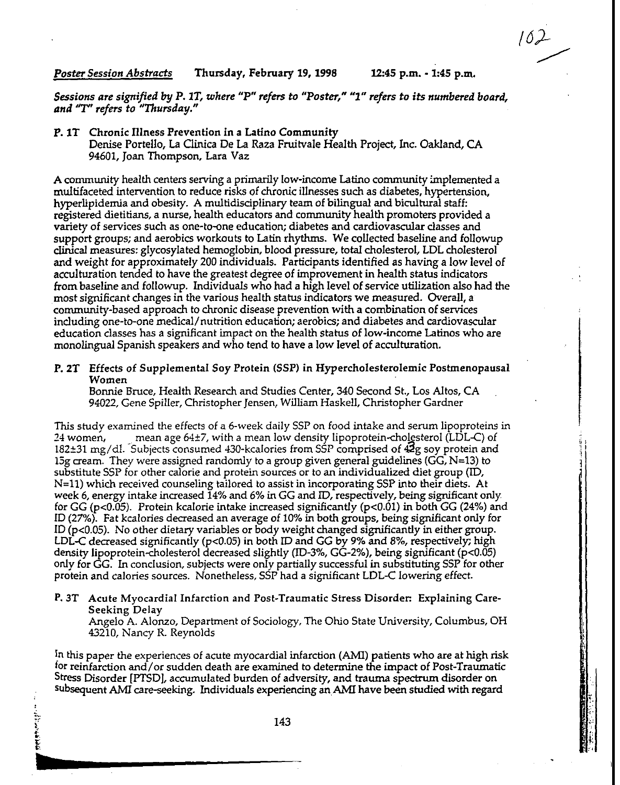## *Poster Session Abstracts* Thursday, February **19, 1998 1245** p.m. - 1:45 p.m.

*Sessions are signified by* P. *IT, where 'P" refers to "Poster," "1" refers to its numbered board, and 'T' refers to "Thursday."*

P. **1T** Chronic Illness Prevention in a Latino Community Denise Portello, La Clinica De La Raza Fruitvale Health Project, Inc. Oakland, CA 94601, Joan Thompson, Lara Vaz

A community health centers serving a primarily low-income Latino community implemented a multifaceted intervention to reduce risks of chronic illnesses such as diabetes, hypertension, hyperlipidernia and obesity. A multidisciplinary team of bilingual and bicultural staff: registered dietitians, a nurse, health educators and community health promoters provided a variety of services such as one-to-one education; diabetes and cardiovascular classes and support groups; and aerobics workouts to Latin rhythms. We collected baseline and followup clinical measures: glycosylated hemoglobin, blood pressure, total cholesterol, LDL cholesterol and weight for approximately 200 individuals. Participants identified as having a low level of acculturation tended to have the greatest degree of improvement in health status indicators from baseline and followup. Individuals who had a high level of service utilization also had the most significant changes in the various health status indicators we measured. Overall, a community-based approach to chronic disease prevention with a combination of services including one-to-one medical/nutrition education; aerobics; and diabetes and cardiovascular education classes has a significant impact on the health status of low-income Latinos who are monolingual Spanish speakers and who tend to have a low level of acculturation.

P. 2T Effects of Supplemental Soy Protein (SSP) in Hypercholesterolemic Postmenopausal Women

Bonnie Bruce, Health Research and Studies Center, 340 Second St., Los Altos, CA 94022, Gene Spiller, Christopher Jensen, William Haskell, Christopher Gardner

This study examined the effects of a 6-week daily SSP on food intake and serum lipoproteins in 24 women, mean age  $64\pm7$ , with a mean low density lipoprotein-cholesterol (LDL-C) of 182±31 mg/dl. Subjects consumed 430-kcalories from SSP comprised of 4Og soy protein and 15g cream. They were assigned randomly to a group given general guidelines (GG,  $N=13$ ) to substitute SSP for other calorie and protein sources or to an individualized diet group (ID, N=11) which received counseling tailored to assist in incorporating SSP into their diets. At week 6, energy intake increased 14% and 6% in GG and ID, respectively, being significant only for GG (p<0.05). Protein kcalorie intake increased significantly (p<0.01) in both GG (24%) and ID (27%). Fat kcalories decreased an average of 10% in both groups, being significant only for ID (p<0.05). No other dietary variables or body weight changed significantly in either group. LDL-C decreased significantly (p<0.05) in both ID and GG by 9% and 8%, respectively; high density lipoprotein-cholesterol decreased slightly (ID-3%, GG-2%), being significant (p<0.05) only for GG. In conclusion, subjects were only partially successful in substituting SSP for other protein and calories sources. Nonetheless, SSP had a significant LDL-C lowering effect.

P. *3T* Acute Myocardial Infarction and Post-Traumatic Stress Disorder Explaining Care-Seeking Delay<br>Angelo A. Alonzo, Department of Sociology, The Ohio State University, Columbus, OH

43210, Nancy R. Reynolds

In this paper the experiences of acute myocardial infarction (AMI) patients who are at high risk for reinfarction and/or sudden death are examined to determine the impact of Post-Traumatic Stress Disorder [PTSD], accumulated burden of adversity, and trauma spectrum disorder on subsequent AMI care-seeking. Individuals experiencing an AMI have been studied with regard

おんな だんかん 記載